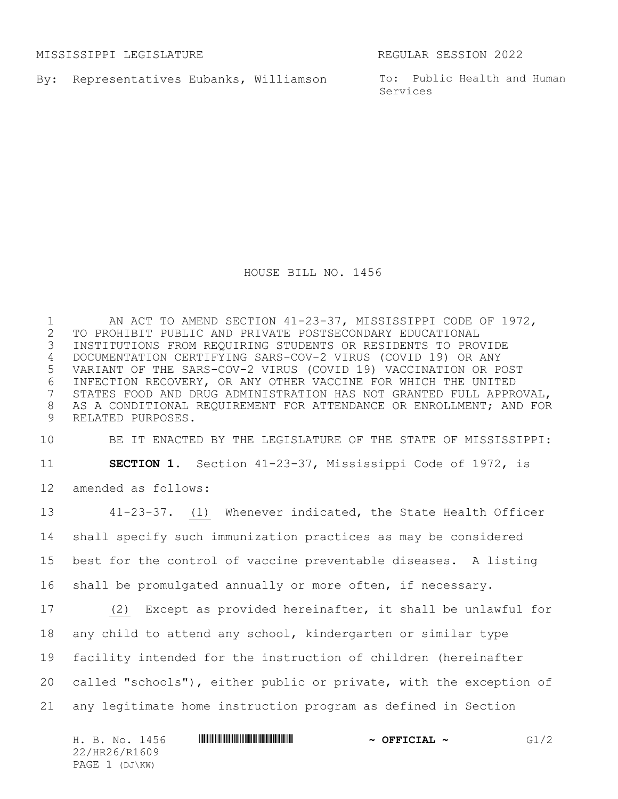MISSISSIPPI LEGISLATURE REGULAR SESSION 2022

By: Representatives Eubanks, Williamson

To: Public Health and Human Services

HOUSE BILL NO. 1456

1 AN ACT TO AMEND SECTION 41-23-37, MISSISSIPPI CODE OF 1972,<br>2 TO PROHIBIT PUBLIC AND PRIVATE POSTSECONDARY EDUCATIONAL 2 TO PROHIBIT PUBLIC AND PRIVATE POSTSECONDARY EDUCATIONAL<br>3 INSTITUTIONS FROM REQUIRING STUDENTS OR RESIDENTS TO PROV 3 INSTITUTIONS FROM REQUIRING STUDENTS OR RESIDENTS TO PROVIDE 4 DOCUMENTATION CERTIFYING SARS-COV-2 VIRUS (COVID 19) OR ANY 5 VARIANT OF THE SARS-COV-2 VIRUS (COVID 19) VACCINATION OR POST 6 INFECTION RECOVERY, OR ANY OTHER VACCINE FOR WHICH THE UNITED<br>7 STATES FOOD AND DRUG ADMINISTRATION HAS NOT GRANTED FULL APPRO STATES FOOD AND DRUG ADMINISTRATION HAS NOT GRANTED FULL APPROVAL, 8 AS A CONDITIONAL REQUIREMENT FOR ATTENDANCE OR ENROLLMENT; AND FOR 9 RELATED PURPOSES.

10 BE IT ENACTED BY THE LEGISLATURE OF THE STATE OF MISSISSIPPI:

11 **SECTION 1.** Section 41-23-37, Mississippi Code of 1972, is

12 amended as follows:

 41-23-37. (1) Whenever indicated, the State Health Officer shall specify such immunization practices as may be considered best for the control of vaccine preventable diseases. A listing shall be promulgated annually or more often, if necessary. (2) Except as provided hereinafter, it shall be unlawful for

18 any child to attend any school, kindergarten or similar type

19 facility intended for the instruction of children (hereinafter

20 called "schools"), either public or private, with the exception of

21 any legitimate home instruction program as defined in Section

H. B. No. 1456 **HREFRIERING THE SECONDATION ASSESSED A OFFICIAL** ~ G1/2 22/HR26/R1609 PAGE 1 (DJ\KW)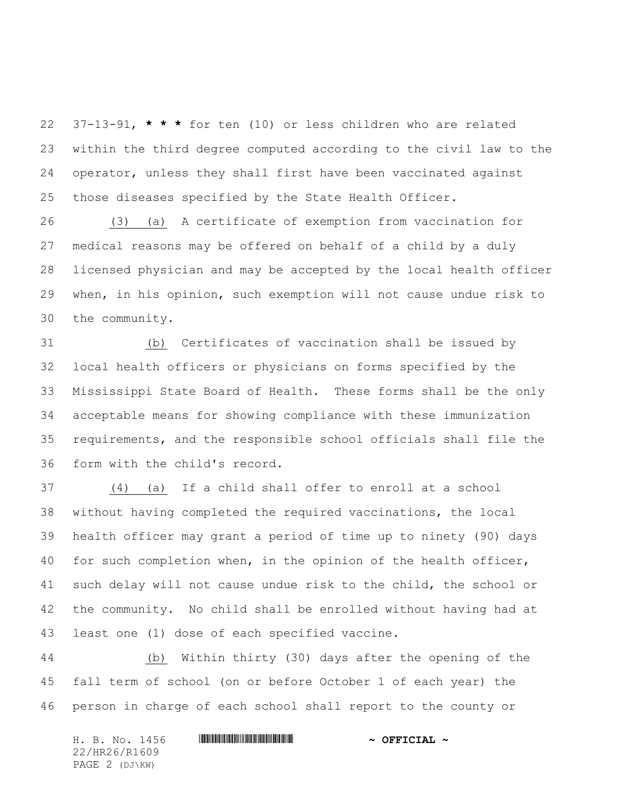37-13-91, **\* \* \*** for ten (10) or less children who are related within the third degree computed according to the civil law to the operator, unless they shall first have been vaccinated against those diseases specified by the State Health Officer.

 (3) (a) A certificate of exemption from vaccination for medical reasons may be offered on behalf of a child by a duly licensed physician and may be accepted by the local health officer when, in his opinion, such exemption will not cause undue risk to the community.

 (b) Certificates of vaccination shall be issued by local health officers or physicians on forms specified by the Mississippi State Board of Health. These forms shall be the only acceptable means for showing compliance with these immunization requirements, and the responsible school officials shall file the form with the child's record.

 (4) (a) If a child shall offer to enroll at a school without having completed the required vaccinations, the local health officer may grant a period of time up to ninety (90) days for such completion when, in the opinion of the health officer, such delay will not cause undue risk to the child, the school or the community. No child shall be enrolled without having had at least one (1) dose of each specified vaccine.

 (b) Within thirty (30) days after the opening of the fall term of school (on or before October 1 of each year) the person in charge of each school shall report to the county or

| H. B. No. 1456 | $\sim$ OFFICIAL $\sim$ |
|----------------|------------------------|
| 22/HR26/R1609  |                        |
| PAGE 2 (DJ\KW) |                        |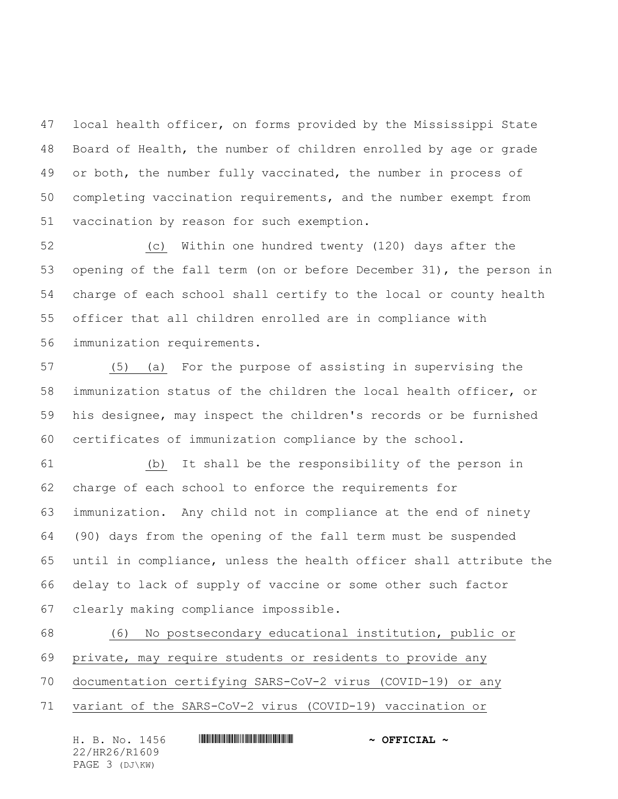local health officer, on forms provided by the Mississippi State Board of Health, the number of children enrolled by age or grade 49 or both, the number fully vaccinated, the number in process of completing vaccination requirements, and the number exempt from vaccination by reason for such exemption.

 (c) Within one hundred twenty (120) days after the opening of the fall term (on or before December 31), the person in charge of each school shall certify to the local or county health officer that all children enrolled are in compliance with immunization requirements.

 (5) (a) For the purpose of assisting in supervising the immunization status of the children the local health officer, or his designee, may inspect the children's records or be furnished certificates of immunization compliance by the school.

 (b) It shall be the responsibility of the person in charge of each school to enforce the requirements for immunization. Any child not in compliance at the end of ninety (90) days from the opening of the fall term must be suspended until in compliance, unless the health officer shall attribute the delay to lack of supply of vaccine or some other such factor clearly making compliance impossible.

 (6) No postsecondary educational institution, public or private, may require students or residents to provide any documentation certifying SARS-CoV-2 virus (COVID-19) or any variant of the SARS-CoV-2 virus (COVID-19) vaccination or

| H. B. No. 1456 | $\sim$ OFFICIAL $\sim$ |
|----------------|------------------------|
| 22/HR26/R1609  |                        |
| PAGE 3 (DJ\KW) |                        |